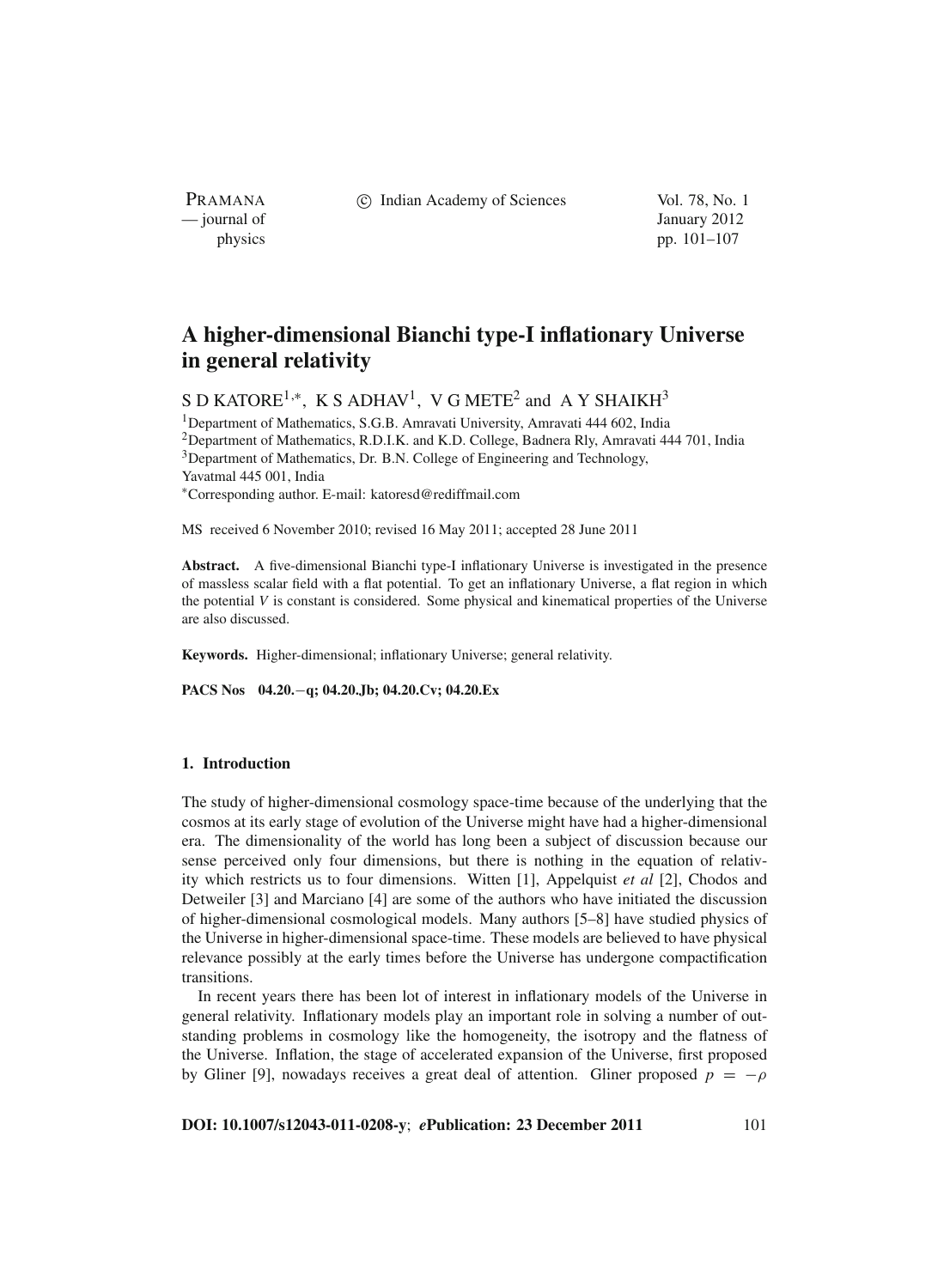PRAMANA — journal of January 2012

c Indian Academy of Sciences Vol. 78, No. 1

physics pp. 101–107

# **A higher-dimensional Bianchi type-I inflationary Universe in general relativity**

S D KATORE<sup>1,\*</sup>, K S ADHAV<sup>1</sup>, V G METE<sup>2</sup> and A Y SHAIKH<sup>3</sup>

<sup>1</sup>Department of Mathematics, S.G.B. Amravati University, Amravati 444 602, India 2Department of Mathematics, R.D.I.K. and K.D. College, Badnera Rly, Amravati 444 701, India <sup>3</sup>Department of Mathematics, Dr. B.N. College of Engineering and Technology, Yavatmal 445 001, India <sup>∗</sup>Corresponding author. E-mail: katoresd@rediffmail.com

MS received 6 November 2010; revised 16 May 2011; accepted 28 June 2011

**Abstract.** A five-dimensional Bianchi type-I inflationary Universe is investigated in the presence of massless scalar field with a flat potential. To get an inflationary Universe, a flat region in which the potential *V* is constant is considered. Some physical and kinematical properties of the Universe are also discussed.

**Keywords.** Higher-dimensional; inflationary Universe; general relativity.

**PACS Nos 04.20.**−**q; 04.20.Jb; 04.20.Cv; 04.20.Ex**

#### **1. Introduction**

The study of higher-dimensional cosmology space-time because of the underlying that the cosmos at its early stage of evolution of the Universe might have had a higher-dimensional era. The dimensionality of the world has long been a subject of discussion because our sense perceived only four dimensions, but there is nothing in the equation of relativity which restricts us to four dimensions. Witten [1], Appelquist *et al* [2], Chodos and Detweiler [3] and Marciano [4] are some of the authors who have initiated the discussion of higher-dimensional cosmological models. Many authors [5–8] have studied physics of the Universe in higher-dimensional space-time. These models are believed to have physical relevance possibly at the early times before the Universe has undergone compactification transitions.

In recent years there has been lot of interest in inflationary models of the Universe in general relativity. Inflationary models play an important role in solving a number of outstanding problems in cosmology like the homogeneity, the isotropy and the flatness of the Universe. Inflation, the stage of accelerated expansion of the Universe, first proposed by Gliner [9], nowadays receives a great deal of attention. Gliner proposed  $p = -\rho$ 

**DOI: 10.1007/s12043-011-0208-y**; *e***Publication: 23 December 2011** 101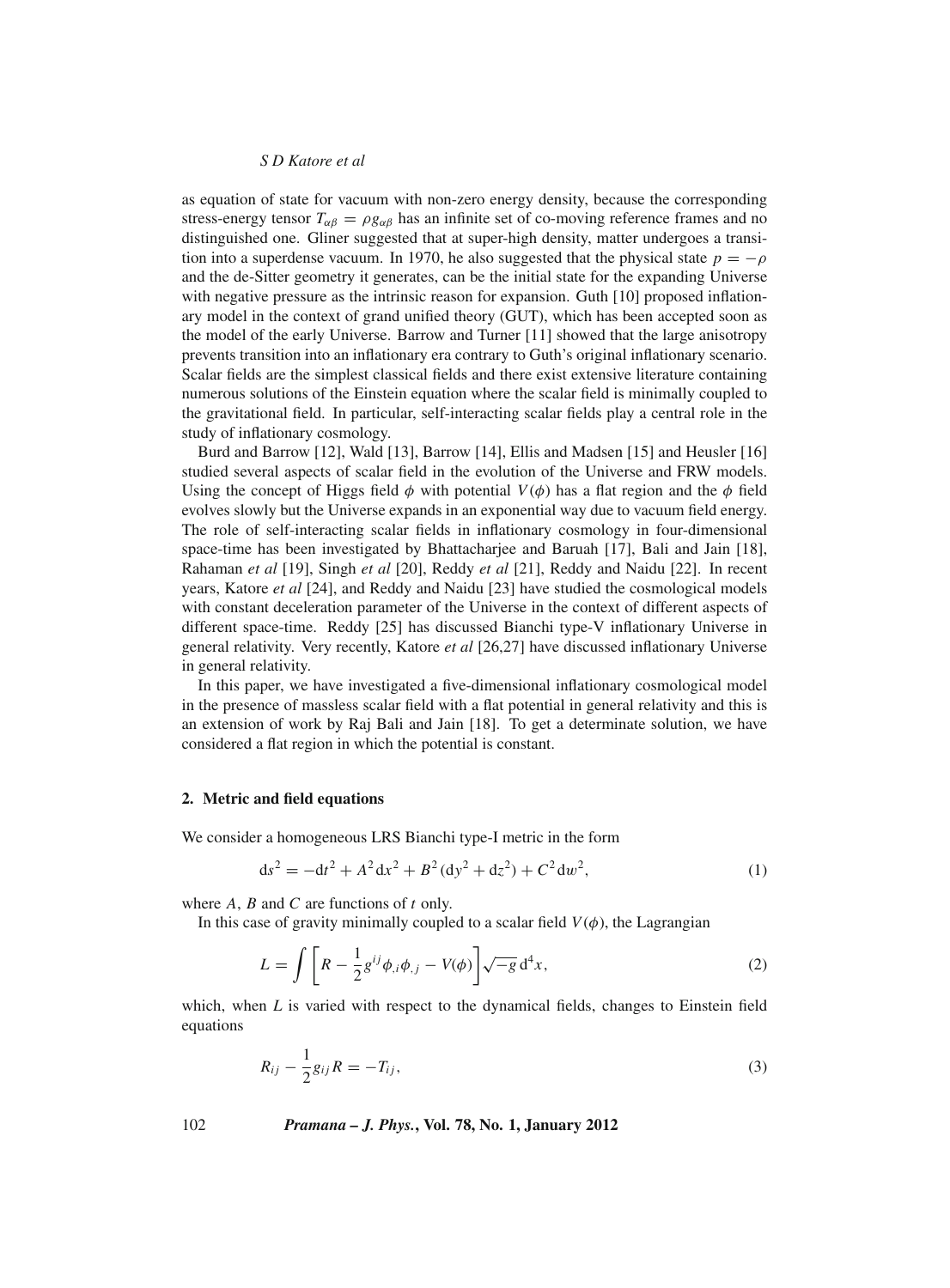#### *S D Katore et al*

as equation of state for vacuum with non-zero energy density, because the corresponding stress-energy tensor  $T_{\alpha\beta} = \rho g_{\alpha\beta}$  has an infinite set of co-moving reference frames and no distinguished one. Gliner suggested that at super-high density, matter undergoes a transition into a superdense vacuum. In 1970, he also suggested that the physical state  $p = -\rho$ and the de-Sitter geometry it generates, can be the initial state for the expanding Universe with negative pressure as the intrinsic reason for expansion. Guth [10] proposed inflationary model in the context of grand unified theory (GUT), which has been accepted soon as the model of the early Universe. Barrow and Turner [11] showed that the large anisotropy prevents transition into an inflationary era contrary to Guth's original inflationary scenario. Scalar fields are the simplest classical fields and there exist extensive literature containing numerous solutions of the Einstein equation where the scalar field is minimally coupled to the gravitational field. In particular, self-interacting scalar fields play a central role in the study of inflationary cosmology.

Burd and Barrow [12], Wald [13], Barrow [14], Ellis and Madsen [15] and Heusler [16] studied several aspects of scalar field in the evolution of the Universe and FRW models. Using the concept of Higgs field  $\phi$  with potential  $V(\phi)$  has a flat region and the  $\phi$  field evolves slowly but the Universe expands in an exponential way due to vacuum field energy. The role of self-interacting scalar fields in inflationary cosmology in four-dimensional space-time has been investigated by Bhattacharjee and Baruah [17], Bali and Jain [18], Rahaman *et al* [19], Singh *et al* [20], Reddy *et al* [21], Reddy and Naidu [22]. In recent years, Katore *et al* [24], and Reddy and Naidu [23] have studied the cosmological models with constant deceleration parameter of the Universe in the context of different aspects of different space-time. Reddy [25] has discussed Bianchi type-V inflationary Universe in general relativity. Very recently, Katore *et al* [26,27] have discussed inflationary Universe in general relativity.

In this paper, we have investigated a five-dimensional inflationary cosmological model in the presence of massless scalar field with a flat potential in general relativity and this is an extension of work by Raj Bali and Jain [18]. To get a determinate solution, we have considered a flat region in which the potential is constant.

#### **2. Metric and field equations**

We consider a homogeneous LRS Bianchi type-I metric in the form

$$
ds^{2} = -dt^{2} + A^{2} dx^{2} + B^{2} (dy^{2} + dz^{2}) + C^{2} dw^{2},
$$
\n(1)

where *A*, *B* and *C* are functions of *t* only.

In this case of gravity minimally coupled to a scalar field  $V(\phi)$ , the Lagrangian

$$
L = \int \left[ R - \frac{1}{2} g^{ij} \phi_{,i} \phi_{,j} - V(\phi) \right] \sqrt{-g} d^4 x, \qquad (2)
$$

which, when  $L$  is varied with respect to the dynamical fields, changes to Einstein field equations

$$
R_{ij} - \frac{1}{2}g_{ij}R = -T_{ij},
$$
\n(3)

102 *Pramana – J. Phys.***, Vol. 78, No. 1, January 2012**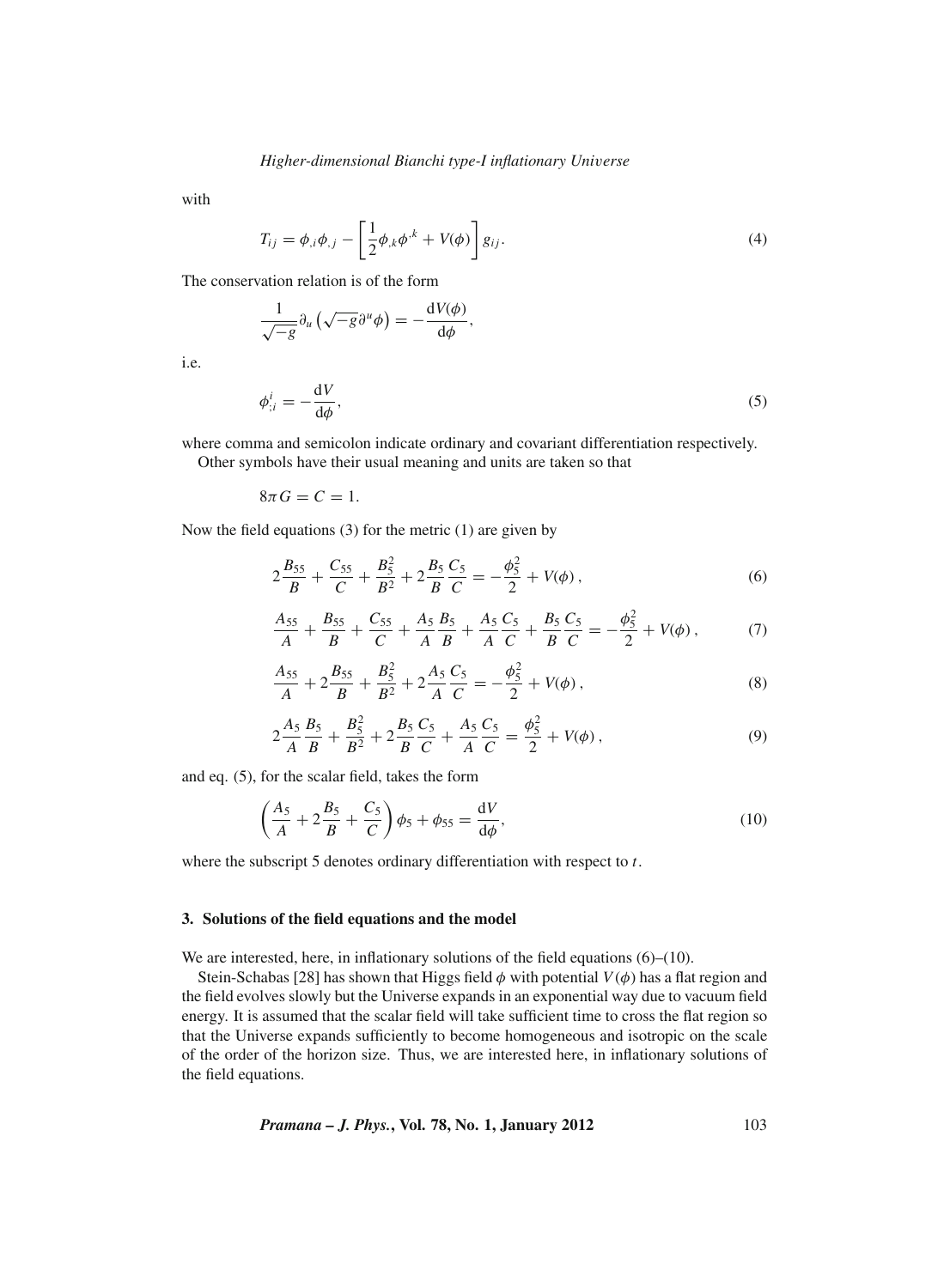with

i.e.

$$
T_{ij} = \phi_{,i}\phi_{,j} - \left[\frac{1}{2}\phi_{,k}\phi^{,k} + V(\phi)\right]g_{ij}.
$$
\n(4)

The conservation relation is of the form

$$
\frac{1}{\sqrt{-g}} \partial_u \left( \sqrt{-g} \partial^u \phi \right) = -\frac{dV(\phi)}{d\phi},
$$
  

$$
\phi^i_{;i} = -\frac{dV}{d\phi},
$$
 (5)

 $\frac{d\mathbf{r}}{d\phi}$ , (5)

where comma and semicolon indicate ordinary and covariant differentiation respectively.

Other symbols have their usual meaning and units are taken so that

 $8\pi G = C = 1.$ 

Now the field equations (3) for the metric (1) are given by

$$
2\frac{B_{55}}{B} + \frac{C_{55}}{C} + \frac{B_5^2}{B^2} + 2\frac{B_5}{B}\frac{C_5}{C} = -\frac{\phi_5^2}{2} + V(\phi) \,,\tag{6}
$$

$$
\frac{A_{55}}{A} + \frac{B_{55}}{B} + \frac{C_{55}}{C} + \frac{A_5}{A} \frac{B_5}{B} + \frac{A_5}{A} \frac{C_5}{C} + \frac{B_5}{B} \frac{C_5}{C} = -\frac{\phi_5^2}{2} + V(\phi) \,,\tag{7}
$$

$$
\frac{A_{55}}{A} + 2\frac{B_{55}}{B} + \frac{B_5^2}{B^2} + 2\frac{A_5}{A}\frac{C_5}{C} = -\frac{\phi_5^2}{2} + V(\phi) ,\qquad (8)
$$

$$
2\frac{A_5}{A}\frac{B_5}{B} + \frac{B_5^2}{B^2} + 2\frac{B_5}{B}\frac{C_5}{C} + \frac{A_5}{A}\frac{C_5}{C} = \frac{\phi_5^2}{2} + V(\phi),\tag{9}
$$

and eq. (5), for the scalar field, takes the form

$$
\left(\frac{A_5}{A} + 2\frac{B_5}{B} + \frac{C_5}{C}\right)\phi_5 + \phi_{55} = \frac{dV}{d\phi},\tag{10}
$$

where the subscript 5 denotes ordinary differentiation with respect to *t*.

#### **3. Solutions of the field equations and the model**

We are interested, here, in inflationary solutions of the field equations (6)–(10).

Stein-Schabas [28] has shown that Higgs field  $\phi$  with potential  $V(\phi)$  has a flat region and the field evolves slowly but the Universe expands in an exponential way due to vacuum field energy. It is assumed that the scalar field will take sufficient time to cross the flat region so that the Universe expands sufficiently to become homogeneous and isotropic on the scale of the order of the horizon size. Thus, we are interested here, in inflationary solutions of the field equations.

*Pramana – J. Phys.***, Vol. 78, No. 1, January 2012** 103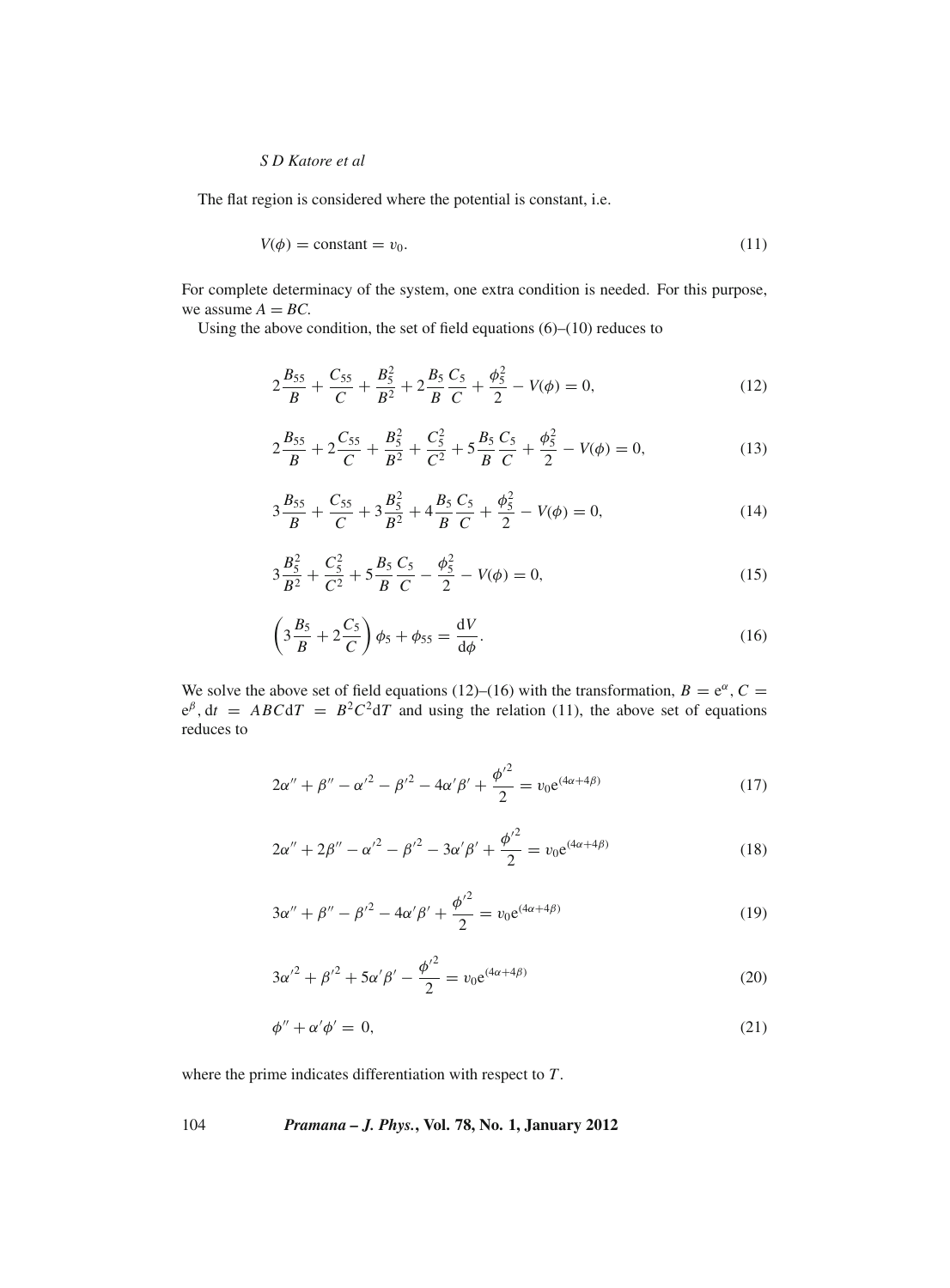# *S D Katore et al*

The flat region is considered where the potential is constant, i.e.

$$
V(\phi) = \text{constant} = v_0. \tag{11}
$$

For complete determinacy of the system, one extra condition is needed. For this purpose, we assume  $A = BC$ .

Using the above condition, the set of field equations (6)–(10) reduces to

$$
2\frac{B_{55}}{B} + \frac{C_{55}}{C} + \frac{B_5^2}{B^2} + 2\frac{B_5}{B}\frac{C_5}{C} + \frac{\phi_5^2}{2} - V(\phi) = 0,\tag{12}
$$

$$
2\frac{B_{55}}{B} + 2\frac{C_{55}}{C} + \frac{B_5^2}{B^2} + \frac{C_5^2}{C^2} + 5\frac{B_5}{B}\frac{C_5}{C} + \frac{\phi_5^2}{2} - V(\phi) = 0,\tag{13}
$$

$$
3\frac{B_{55}}{B} + \frac{C_{55}}{C} + 3\frac{B_5^2}{B^2} + 4\frac{B_5}{B}\frac{C_5}{C} + \frac{\phi_5^2}{2} - V(\phi) = 0,\tag{14}
$$

$$
3\frac{B_5^2}{B^2} + \frac{C_5^2}{C^2} + 5\frac{B_5}{B}\frac{C_5}{C} - \frac{\phi_5^2}{2} - V(\phi) = 0,\tag{15}
$$

$$
\left(3\frac{B_5}{B} + 2\frac{C_5}{C}\right)\phi_5 + \phi_{55} = \frac{\mathrm{d}V}{\mathrm{d}\phi}.\tag{16}
$$

We solve the above set of field equations (12)–(16) with the transformation,  $B = e^{\alpha}$ ,  $C =$  $e^{\beta}$ ,  $dt = ABCdT = B^2C^2dT$  and using the relation (11), the above set of equations reduces to

$$
2\alpha'' + \beta'' - {\alpha'}^2 - {\beta'}^2 - 4\alpha'\beta' + \frac{{\phi'}^2}{2} = v_0 e^{(4\alpha + 4\beta)}
$$
(17)

$$
2\alpha'' + 2\beta'' - {\alpha'}^2 - {\beta'}^2 - 3\alpha'\beta' + \frac{{\phi'}^2}{2} = v_0 e^{(4\alpha + 4\beta)}
$$
(18)

$$
3\alpha'' + \beta'' - {\beta'}^2 - 4\alpha'\beta' + \frac{{\phi'}^2}{2} = v_0 e^{(4\alpha + 4\beta)}
$$
\n(19)

$$
3\alpha'^2 + {\beta'}^2 + 5\alpha'{\beta'} - \frac{{\phi'}^2}{2} = v_0 e^{(4\alpha + 4\beta)}
$$
\n(20)

$$
\phi'' + \alpha' \phi' = 0,\tag{21}
$$

where the prime indicates differentiation with respect to *T*.

104 *Pramana – J. Phys.***, Vol. 78, No. 1, January 2012**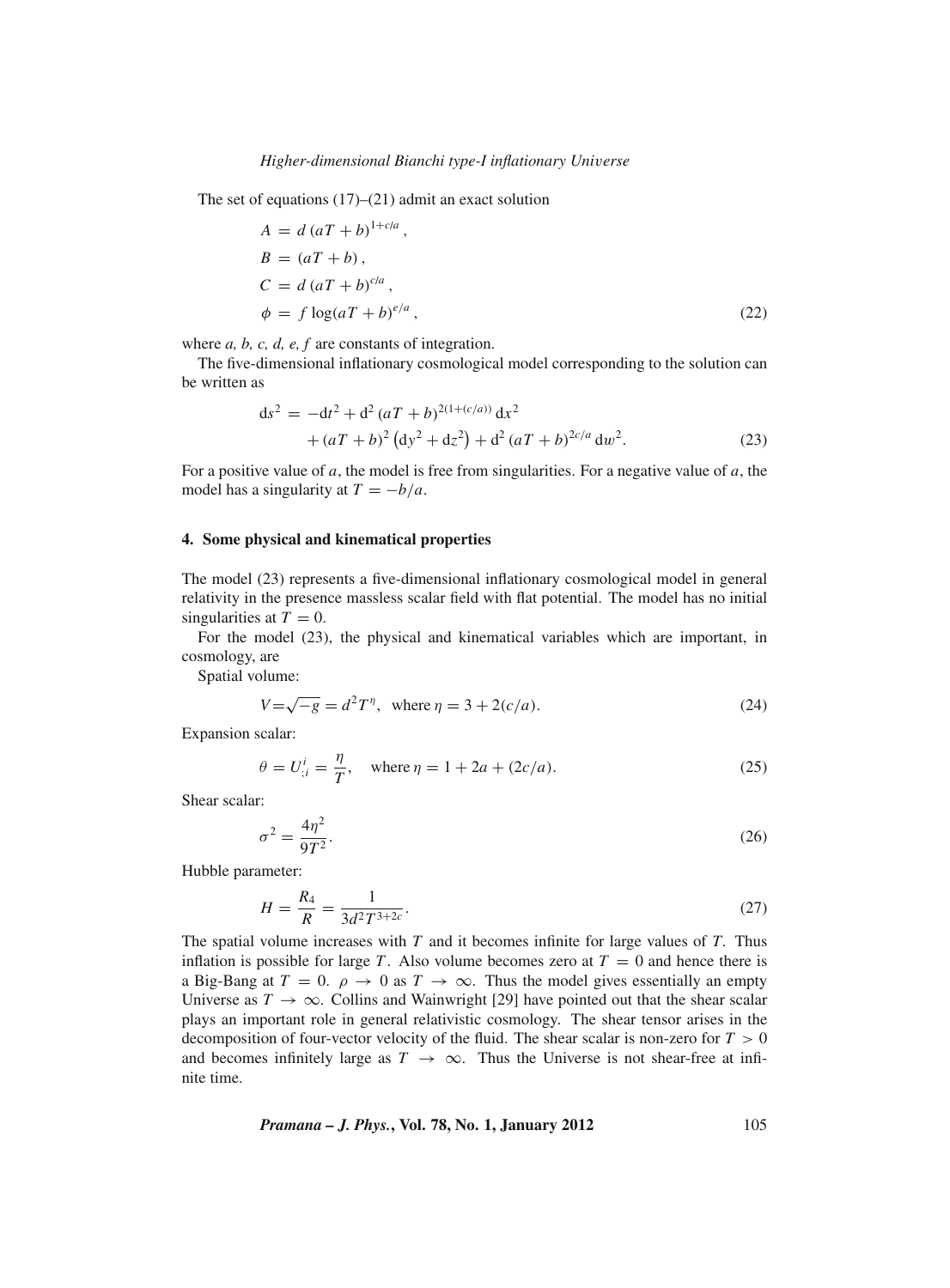The set of equations  $(17)$ – $(21)$  admit an exact solution

$$
A = d (aT + b)^{1+c/a},
$$
  
\n
$$
B = (aT + b),
$$
  
\n
$$
C = d (aT + b)^{c/a},
$$
  
\n
$$
\phi = f \log(aT + b)^{e/a},
$$
\n(22)

where *a*, *b*, *c*, *d*, *e*, *f* are constants of integration.

The five-dimensional inflationary cosmological model corresponding to the solution can be written as

$$
ds^{2} = -dt^{2} + d^{2} (aT + b)^{2(1 + (c/a))} dx^{2}
$$
  
+ 
$$
(aT + b)^{2} (dy^{2} + dz^{2}) + d^{2} (aT + b)^{2c/a} dw^{2}.
$$
 (23)

For a positive value of *a*, the model is free from singularities. For a negative value of *a*, the model has a singularity at  $T = -b/a$ .

#### **4. Some physical and kinematical properties**

The model (23) represents a five-dimensional inflationary cosmological model in general relativity in the presence massless scalar field with flat potential. The model has no initial singularities at  $T = 0$ .

For the model (23), the physical and kinematical variables which are important, in cosmology, are

Spatial volume:

$$
V = \sqrt{-g} = d^2 T^{\eta}, \text{ where } \eta = 3 + 2(c/a). \tag{24}
$$

Expansion scalar:

$$
\theta = U_{;i}^i = \frac{\eta}{T}
$$
, where  $\eta = 1 + 2a + (2c/a)$ . (25)

Shear scalar:

$$
\sigma^2 = \frac{4\eta^2}{9T^2}.\tag{26}
$$

Hubble parameter:

$$
H = \frac{R_4}{R} = \frac{1}{3d^2T^{3+2c}}.
$$
\n(27)

The spatial volume increases with *T* and it becomes infinite for large values of *T*. Thus inflation is possible for large *T*. Also volume becomes zero at  $T = 0$  and hence there is a Big-Bang at  $T = 0$ .  $\rho \rightarrow 0$  as  $T \rightarrow \infty$ . Thus the model gives essentially an empty Universe as  $T \to \infty$ . Collins and Wainwright [29] have pointed out that the shear scalar plays an important role in general relativistic cosmology. The shear tensor arises in the decomposition of four-vector velocity of the fluid. The shear scalar is non-zero for  $T > 0$ and becomes infinitely large as  $T \rightarrow \infty$ . Thus the Universe is not shear-free at infinite time.

*Pramana – J. Phys.*, Vol. 78, No. 1, January 2012 
$$
105
$$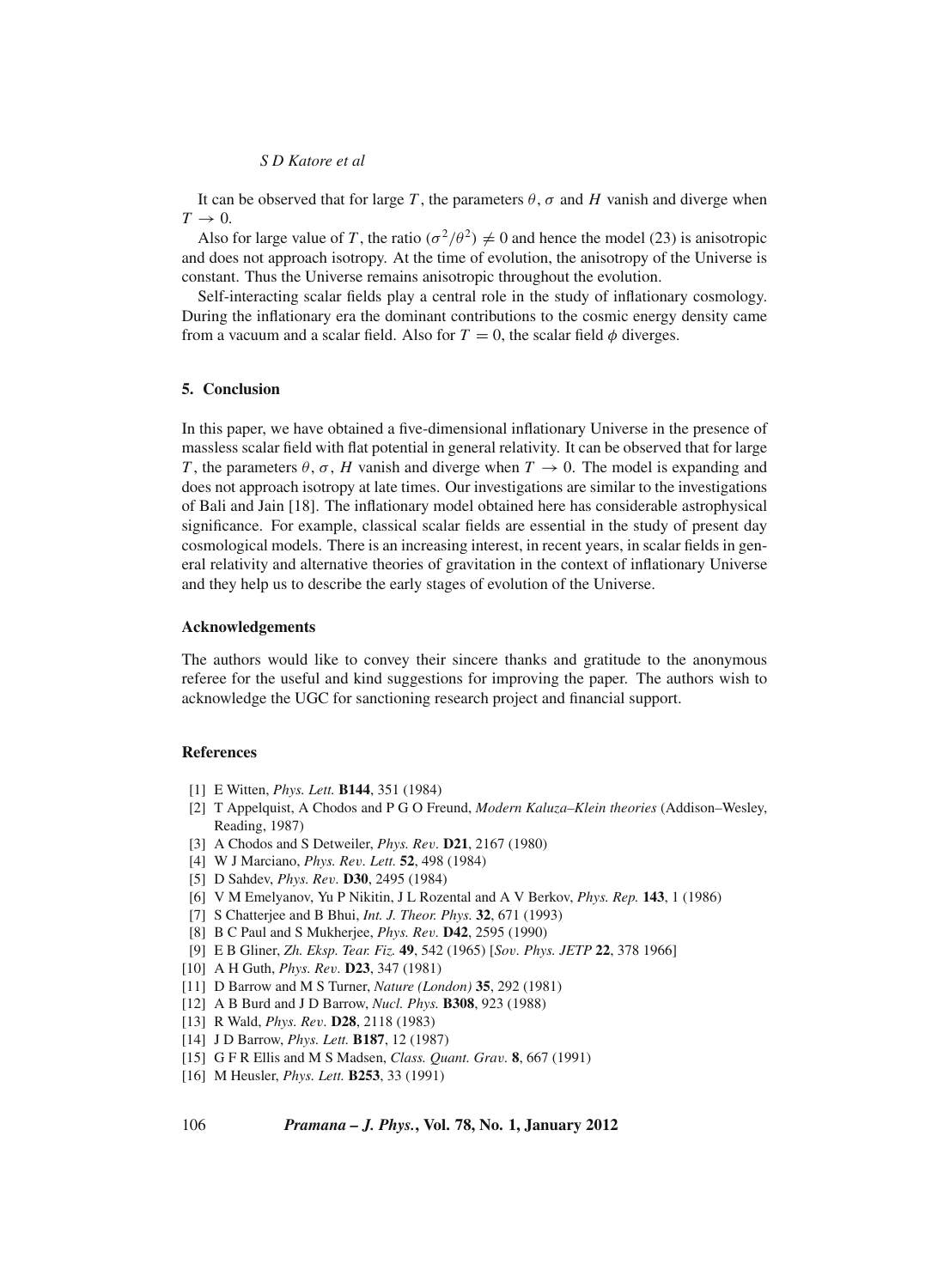# *S D Katore et al*

It can be observed that for large *T*, the parameters  $\theta$ ,  $\sigma$  and *H* vanish and diverge when  $T \rightarrow 0$ .

Also for large value of *T*, the ratio  $(\sigma^2/\theta^2) \neq 0$  and hence the model (23) is anisotropic and does not approach isotropy. At the time of evolution, the anisotropy of the Universe is constant. Thus the Universe remains anisotropic throughout the evolution.

Self-interacting scalar fields play a central role in the study of inflationary cosmology. During the inflationary era the dominant contributions to the cosmic energy density came from a vacuum and a scalar field. Also for  $T = 0$ , the scalar field  $\phi$  diverges.

#### **5. Conclusion**

In this paper, we have obtained a five-dimensional inflationary Universe in the presence of massless scalar field with flat potential in general relativity. It can be observed that for large *T*, the parameters  $\theta$ ,  $\sigma$ , *H* vanish and diverge when  $T \rightarrow 0$ . The model is expanding and does not approach isotropy at late times. Our investigations are similar to the investigations of Bali and Jain [18]. The inflationary model obtained here has considerable astrophysical significance. For example, classical scalar fields are essential in the study of present day cosmological models. There is an increasing interest, in recent years, in scalar fields in general relativity and alternative theories of gravitation in the context of inflationary Universe and they help us to describe the early stages of evolution of the Universe.

# **Acknowledgements**

The authors would like to convey their sincere thanks and gratitude to the anonymous referee for the useful and kind suggestions for improving the paper. The authors wish to acknowledge the UGC for sanctioning research project and financial support.

#### **References**

- [1] E Witten, *Phys. Lett.* **B144**, 351 (1984)
- [2] T Appelquist, A Chodos and P G O Freund, *Modern Kaluza–Klein theories* (Addison–Wesley, Reading, 1987)
- [3] A Chodos and S Detweiler, *Phys. Re*v*.* **D21**, 2167 (1980)
- [4] W J Marciano, *Phys. Re*v*. Lett.* **52**, 498 (1984)
- [5] D Sahdev, *Phys. Re*v*.* **D30**, 2495 (1984)
- [6] V M Emelyanov, Yu P Nikitin, J L Rozental and A V Berkov, *Phys. Rep.* **143**, 1 (1986)
- [7] S Chatterjee and B Bhui, *Int. J. Theor. Phys.* **32**, 671 (1993)
- [8] B C Paul and S Mukherjee, *Phys. Re*v*.* **D42**, 2595 (1990)
- [9] E B Gliner, *Zh. Eksp. Tear. Fiz.* **49**, 542 (1965) [*So*v*. Phys. JETP* **22**, 378 1966]
- [10] A H Guth, *Phys. Re*v*.* **D23**, 347 (1981)
- [11] D Barrow and M S Turner, *Nature (London)* **35**, 292 (1981)
- [12] A B Burd and J D Barrow, *Nucl. Phys.* **B308**, 923 (1988)
- [13] R Wald, *Phys. Re*v*.* **D28**, 2118 (1983)
- [14] J D Barrow, *Phys. Lett.* **B187**, 12 (1987)
- [15] G F R Ellis and M S Madsen, *Class. Quant. Gra*v*.* **8**, 667 (1991)
- [16] M Heusler, *Phys. Lett.* **B253**, 33 (1991)

# 106 *Pramana – J. Phys.***, Vol. 78, No. 1, January 2012**